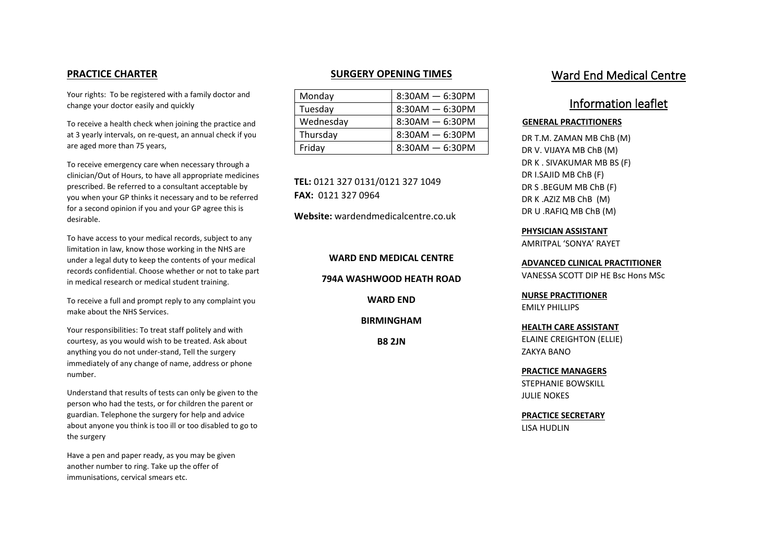# **PRACTICE CHARTER**

Your rights: To be registered with a family doctor and change your doctor easily and quickly

To receive a health check when joining the practice and at 3 yearly intervals, on re-quest, an annual check if you are aged more than 75 years,

To receive emergency care when necessary through a clinician/Out of Hours, to have all appropriate medicines prescribed. Be referred to a consultant acceptable by you when your GP thinks it necessary and to be referred for a second opinion if you and your GP agree this is desirable.

To have access to your medical records, subject to any limitation in law, know those working in the NHS are under a legal duty to keep the contents of your medical records confidential. Choose whether or not to take part in medical research or medical student training.

To receive a full and prompt reply to any complaint you make about the NHS Services.

Your responsibilities: To treat staff politely and with courtesy, as you would wish to be treated. Ask about anything you do not under-stand, Tell the surgery immediately of any change of name, address or phone number.

Understand that results of tests can only be given to the person who had the tests, or for children the parent or guardian. Telephone the surgery for help and advice about anyone you think is too ill or too disabled to go to the surgery

Have a pen and paper ready, as you may be given another number to ring. Take up the offer of immunisations, cervical smears etc.

# **SURGERY OPENING TIMES**

| Monday    | $8:30AM - 6:30PM$ |
|-----------|-------------------|
| Tuesday   | $8:30AM - 6:30PM$ |
| Wednesday | $8:30AM - 6:30PM$ |
| Thursday  | $8:30AM - 6:30PM$ |
| Friday    | $8:30AM - 6:30PM$ |

 **FAX:** 0121 327 0964 **TEL:** 0121 327 0131/0121 327 1049

**Website:** [wardendmedicalcentre.co.uk](https://wardendmedicalcentre.co.uk)

**WARD END MEDICAL CENTRE** 

**794A WASHWOOD HEATH ROAD** 

**WARD END** 

**BIRMINGHAM** 

**B8 2JN** 

# Ward End Medical Centre

# Information leaflet

### **GENERAL PRACTITIONERS**

 DR V. VIJAYA MB ChB (M) DR S .BEGUM MB ChB (F) DR T.M. ZAMAN MB ChB (M) DR K . SIVAKUMAR MB BS (F) DR I.SAJID MB ChB (F) DR K .AZIZ MB ChB (M) DR U .RAFIQ MB ChB (M)

**PHYSICIAN ASSISTANT**  AMRITPAL 'SONYA' RAYET

**ADVANCED CLINICAL PRACTITIONER**  VANESSA SCOTT DIP HE Bsc Hons MSc

**NURSE PRACTITIONER**  EMILY PHILLIPS

**HEALTH CARE ASSISTANT**  ELAINE CREIGHTON (ELLIE) ZAKYA BANO

**PRACTICE MANAGERS**  STEPHANIE BOWSKILL JULIE NOKES

**PRACTICE SECRETARY**  LISA HUDLIN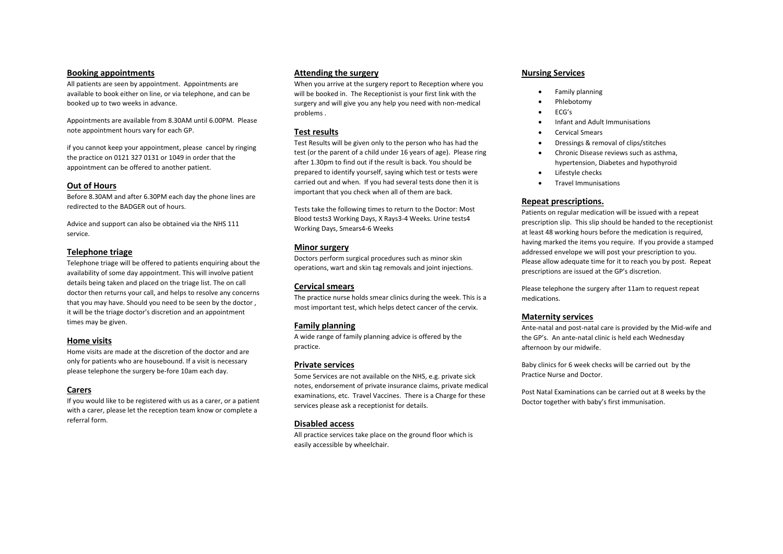### **Booking appointments**

All patients are seen by appointment. Appointments are available to book either on line, or via telephone, and can be booked up to two weeks in advance.

Appointments are available from 8.30AM until 6.00PM. Please note appointment hours vary for each GP.

 the practice on 0121 327 0131 or 1049 in order that the if you cannot keep your appointment, please cancel by ringing appointment can be offered to another patient.

#### **Out of Hours**

redirected to the BADGER out of hours. Before 8.30AM and after 6.30PM each day the phone lines are

Advice and support can also be obtained via the NHS 111 service.

#### **Telephone triage**

Telephone triage will be offered to patients enquiring about the availability of some day appointment. This will involve patient details being taken and placed on the triage list. The on call doctor then returns your call, and helps to resolve any concerns that you may have. Should you need to be seen by the doctor , it will be the triage doctor's discretion and an appointment times may be given.

#### **Home visits**

Home visits are made at the discretion of the doctor and are only for patients who are housebound. If a visit is necessary please telephone the surgery be-fore 10am each day.

### **Carers**

If you would like to be registered with us as a carer, or a patient with a carer, please let the reception team know or complete a referral form.

#### **Attending the surgery**

When you arrive at the surgery report to Reception where you will be booked in. The Receptionist is your first link with the surgery and will give you any help you need with non-medical problems .

### **Test results**

Test Results will be given only to the person who has had the test (or the parent of a child under 16 years of age). Please ring after 1.30pm to find out if the result is back. You should be prepared to identify yourself, saying which test or tests were carried out and when. If you had several tests done then it is important that you check when all of them are back.

Tests take the following times to return to the Doctor: Most Blood tests3 Working Days, X Rays3-4 Weeks. Urine tests4 Working Days, Smears4-6 Weeks

### **Minor surgery**

Doctors perform surgical procedures such as minor skin operations, wart and skin tag removals and joint injections.

### **Cervical smears**

The practice nurse holds smear clinics during the week. This is a most important test, which helps detect cancer of the cervix.

### **Family planning**

A wide range of family planning advice is offered by the practice.

### **Private services**

Some Services are not available on the NHS, e.g. private sick notes, endorsement of private insurance claims, private medical examinations, etc. Travel Vaccines. There is a Charge for these services please ask a receptionist for details.

#### **Disabled access**

All practice services take place on the ground floor which is easily accessible by wheelchair.

### **Nursing Services**

- Family planning
- Phlebotomy
- ECG's
- Infant and Adult Immunisations
- Cervical Smears
- Dressings & removal of clips/stitches
- Chronic Disease reviews such as asthma, hypertension, Diabetes and hypothyroid
- Lifestyle checks
- Travel Immunisations

### **Repeat prescriptions.**

Patients on regular medication will be issued with a repeat prescription slip. This slip should be handed to the receptionist at least 48 working hours before the medication is required, having marked the items you require. If you provide a stamped addressed envelope we will post your prescription to you. Please allow adequate time for it to reach you by post. Repeat prescriptions are issued at the GP's discretion.

Please telephone the surgery after 11am to request repeat medications.

#### **Maternity services**

Ante-natal and post-natal care is provided by the Mid-wife and the GP's. An ante-natal clinic is held each Wednesday afternoon by our midwife.

Baby clinics for 6 week checks will be carried out by the Practice Nurse and Doctor.

Post Natal Examinations can be carried out at 8 weeks by the Doctor together with baby's first immunisation.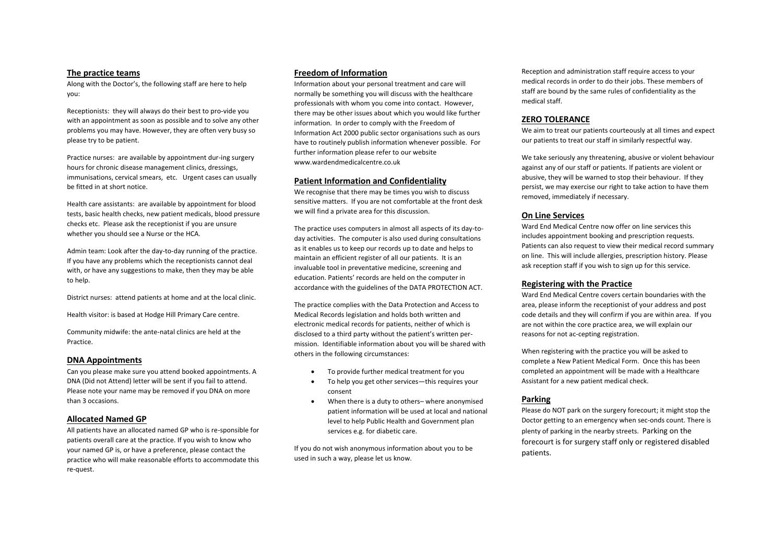Receptionists: they will always do their best to pro-vide you with an appointment as soon as possible and to solve any other problems you may have. However, they are often very busy so Information Act 2000 public sector organisations such as ours We aim to treat our patients courteously at all times and please try to be patient. However, they ar

hours for chronic disease management clinics, dressings, and the controller controller controller controllers are violent or against any of our staff or patients. If patients are violent or immunisations, cervical smears, etc. Urgent cases can usually be fitted in at short notice.

Health care assistants: are available by appointment for blood tests, basic health checks, new patient medicals, blood pressure we will find a private area for this discussion. **On Line Services**  checks etc. Please ask the receptionist if you are unsure whether you should see a Nurse or the HCA.<br>The practice uses computers in almost all aspects of its day-to-<br> $\frac{1}{2}$ 

If you have any problems which the receptionists cannot deal with, or have any suggestions to make, then they may be able to help. education. Patients' records are held on the computer in

District nurses: attend patients at home and at the local clinic.<br>The practice complies with the Data Protection and Access to

 DNA (Did not Attend) letter will be sent if you fail to attend. • To help you get other services—this requires your Assistant for a new patient medical check. Can you please make sure you attend booked appointments. A • To provide further medical treatment for you completed an appointment will be made with a Healthcare Please note your name may be removed if you DNA on more consent than 3 occasions. • When there is a duty to others– where anonymised **Parking** 

All patients have an allocated named GP who is re-sponsible for services e.g. for diabetic care. patients overall care at the practice. If you wish to know who your named GP is, or have a preference, please contact the practice who will make reasonable efforts to accommodate this re-quest.

Along with the Doctor's, the following staff are here to help Information about your personal treatment and care will medical records in order to do their jobs. These members of confidentiality as the server here to the st you: normally be something you will discuss with the healthcare staff are bound by the same rules of confidential staff are bound by the same rules of confidential staff. professionals with whom you come into contact. However, there may be other issues about which you would like further information. In order to comply with the Freedom of **ZERO TOLERANCE**  have to routinely publish information whenever possible. For Practice nurses: are available by appointment dur-ing surgery further information please refer to our website<br>www.wardendmedicalcentre.co.uk

#### **Patient Information and Confidentiality**

 sensitive matters. If you are not comfortable at the front desk We recognise that there may be times you wish to discuss

day activities. The computer is also used during consultations whether you should see a nurse of the HCA.<br>
day activities. The computer is also used during consultations and helps to heart includes appointment booking and prescription requests.<br>Admin team: Look after the day-to-day ru as it enables us to keep our records up to date and helps to maintain an efficient register of all our patients. It is an invaluable tool in preventative medicine, screening and accordance with the guidelines of the DATA PROTECTION ACT. **Registering with the Practice** 

Health visitor: is based at Hodge Hill Primary Care centre. Medical Records legislation and holds both written and code details and they will confirm if you are within area. If you electronic medical records for patients, neither of which is are not within the core practice area, we will explain our Community midwife: the ante-natal clinics are held at the disclosed to a third party without the patient's written per-<br>Practice. mission. Identifiable information about you will be shared with

- 
- 
- 

If you do not wish anonymous information about you to be used in such a way, please let us know.

**The practice teams**<br>Along with the Decter's the following staff are best to help **Freedom of Information Reception** and administration staff require access to your<br>Along with the Decter's the following staff are best to

 abusive, they will be warned to stop their behaviour. If they We take seriously any threatening, abusive or violent behaviour persist, we may exercise our right to take action to have them removed, immediately if necessary.

Ward End Medical Centre now offer on line services this Patients can also request to view their medical record summary on line. This will include allergies, prescription history. Please ask reception staff if you wish to sign up for this service.

area, please inform the receptionist of your address and post

others in the following circumstances: When registering with the practice you will be asked to<br>**DNA Appointments** and a state of this has be able to the state of the state of the state of this has be this has b complete a New Patient Medical Form. Once this has been

plenty of parking in the nearby streets. Parking on the patient information will be used at local and national Please do NOT park on the surgery forecourt; it might stop the **Allocated Named GP level to help Public Health and Government plan** Doctor getting to an emergency when sec-onds count. There is forecourt is for surgery staff only or registered disabled patients.